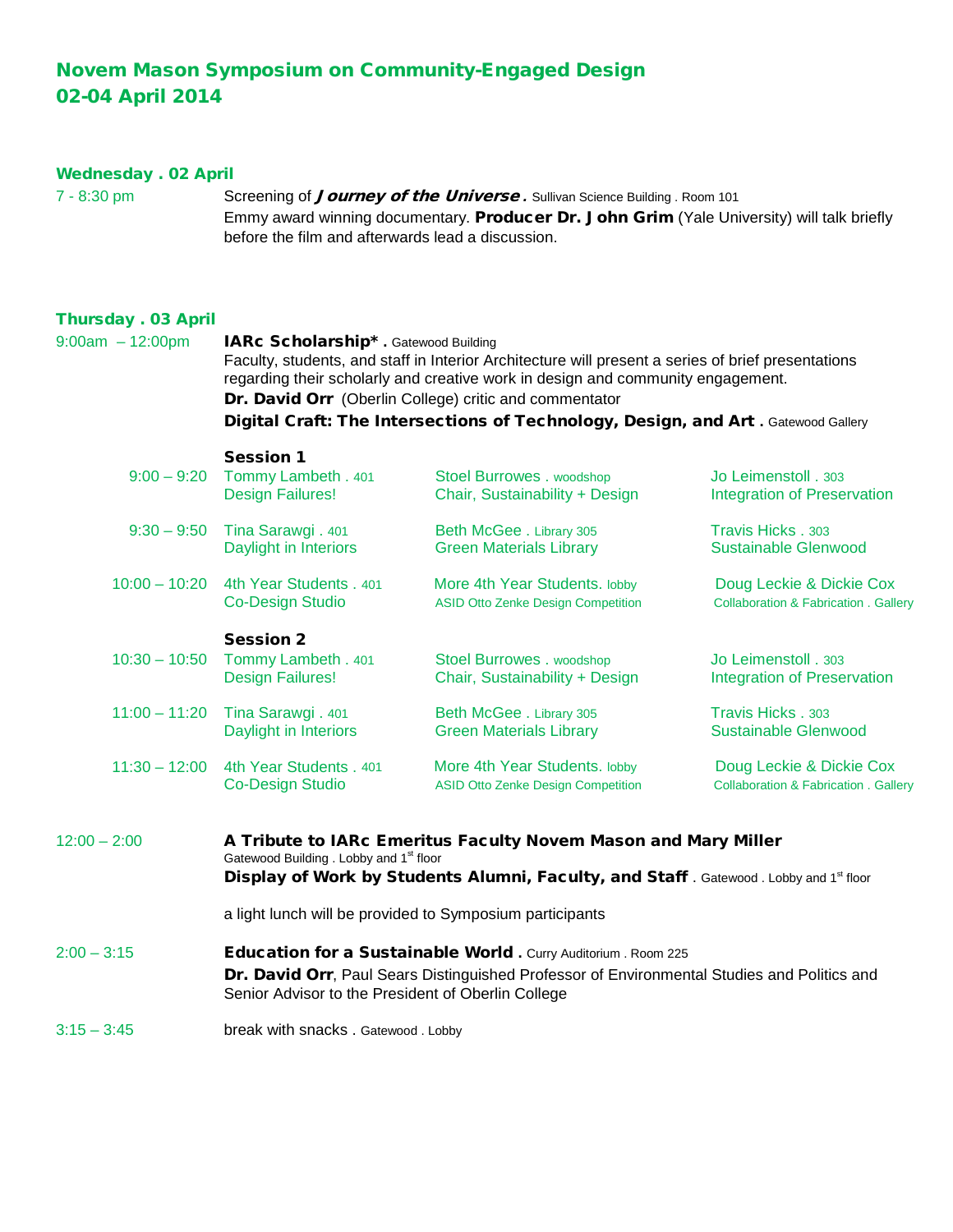## Novem Mason Symposium on Community-Engaged Design 02-04 April 2014

## Wednesday . 02 April

7 - 8:30 pm Screening of *Journey of the Universe* . Sullivan Science Building . Room 101 Emmy award winning documentary. Producer Dr. John Grim (Yale University) will talk briefly before the film and afterwards lead a discussion.

## Thursday . 03 April

| $9:00am - 12:00pm$ | IARc Scholarship* . Gatewood Building<br>Faculty, students, and staff in Interior Architecture will present a series of brief presentations<br>regarding their scholarly and creative work in design and community engagement.<br>Dr. David Orr (Oberlin College) critic and commentator<br>Digital Craft: The Intersections of Technology, Design, and Art. Gatewood Gallery |                                                                            |                                                                              |
|--------------------|-------------------------------------------------------------------------------------------------------------------------------------------------------------------------------------------------------------------------------------------------------------------------------------------------------------------------------------------------------------------------------|----------------------------------------------------------------------------|------------------------------------------------------------------------------|
| $9:00 - 9:20$      | <b>Session 1</b><br>Tommy Lambeth . 401<br><b>Design Failures!</b>                                                                                                                                                                                                                                                                                                            | Stoel Burrowes . woodshop<br>Chair, Sustainability + Design                | Jo Leimenstoll . 303<br><b>Integration of Preservation</b>                   |
| $9:30 - 9:50$      | Tina Sarawgi. 401<br>Daylight in Interiors                                                                                                                                                                                                                                                                                                                                    | Beth McGee . Library 305<br><b>Green Materials Library</b>                 | Travis Hicks . 303<br><b>Sustainable Glenwood</b>                            |
| $10:00 - 10:20$    | 4th Year Students . 401<br><b>Co-Design Studio</b>                                                                                                                                                                                                                                                                                                                            | More 4th Year Students. lobby<br><b>ASID Otto Zenke Design Competition</b> | Doug Leckie & Dickie Cox<br><b>Collaboration &amp; Fabrication . Gallery</b> |
| $10:30 - 10:50$    | <b>Session 2</b><br>Tommy Lambeth . 401<br><b>Design Failures!</b>                                                                                                                                                                                                                                                                                                            | Stoel Burrowes . woodshop<br>Chair, Sustainability + Design                | Jo Leimenstoll . 303<br><b>Integration of Preservation</b>                   |
| $11:00 - 11:20$    | Tina Sarawgi. 401<br>Daylight in Interiors                                                                                                                                                                                                                                                                                                                                    | Beth McGee . Library 305<br><b>Green Materials Library</b>                 | Travis Hicks . 303<br><b>Sustainable Glenwood</b>                            |
| $11:30 - 12:00$    | 4th Year Students . 401<br><b>Co-Design Studio</b>                                                                                                                                                                                                                                                                                                                            | More 4th Year Students. lobby<br><b>ASID Otto Zenke Design Competition</b> | Doug Leckie & Dickie Cox<br><b>Collaboration &amp; Fabrication . Gallery</b> |
| $12:00 - 2:00$     | A Tribute to IARc Emeritus Faculty Novem Mason and Mary Miller<br>Gatewood Building . Lobby and 1 <sup>st</sup> floor<br>Display of Work by Students Alumni, Faculty, and Staff. Gatewood. Lobby and 1st floor                                                                                                                                                                |                                                                            |                                                                              |
|                    | a light lunch will be provided to Symposium participants                                                                                                                                                                                                                                                                                                                      |                                                                            |                                                                              |
| $2:00 - 3:15$      | Education for a Sustainable World . Curry Auditorium . Room 225<br>Dr. David Orr, Paul Sears Distinguished Professor of Environmental Studies and Politics and<br>Senior Advisor to the President of Oberlin College                                                                                                                                                          |                                                                            |                                                                              |
| $3:15 - 3:45$      | break with snacks. Gatewood. Lobby                                                                                                                                                                                                                                                                                                                                            |                                                                            |                                                                              |